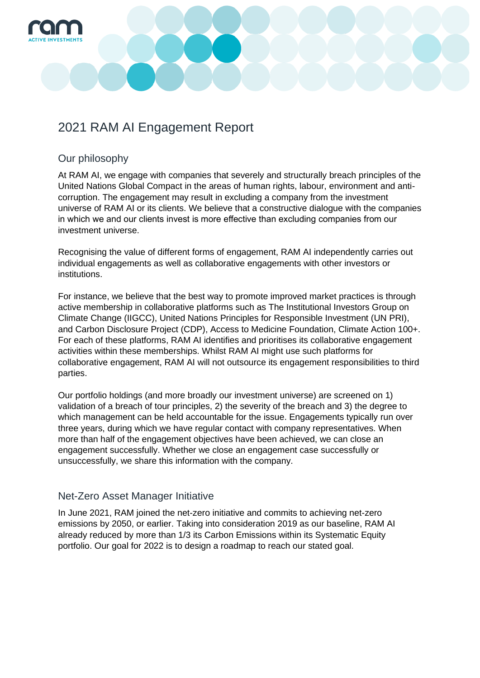

# 2021 RAM AI Engagement Report

#### Our philosophy

At RAM AI, we engage with companies that severely and structurally breach principles of the United Nations Global Compact in the areas of human rights, labour, environment and anticorruption. The engagement may result in excluding a company from the investment universe of RAM AI or its clients. We believe that a constructive dialogue with the companies in which we and our clients invest is more effective than excluding companies from our investment universe.

Recognising the value of different forms of engagement, RAM AI independently carries out individual engagements as well as collaborative engagements with other investors or institutions.

For instance, we believe that the best way to promote improved market practices is through active membership in collaborative platforms such as The Institutional Investors Group on Climate Change (IIGCC), United Nations Principles for Responsible Investment (UN PRI), and Carbon Disclosure Project (CDP), Access to Medicine Foundation, Climate Action 100+. For each of these platforms, RAM AI identifies and prioritises its collaborative engagement activities within these memberships. Whilst RAM AI might use such platforms for collaborative engagement, RAM AI will not outsource its engagement responsibilities to third parties.

Our portfolio holdings (and more broadly our investment universe) are screened on 1) validation of a breach of tour principles, 2) the severity of the breach and 3) the degree to which management can be held accountable for the issue. Engagements typically run over three years, during which we have regular contact with company representatives. When more than half of the engagement objectives have been achieved, we can close an engagement successfully. Whether we close an engagement case successfully or unsuccessfully, we share this information with the company.

#### Net-Zero Asset Manager Initiative

In June 2021, RAM joined the net-zero initiative and commits to achieving net-zero emissions by 2050, or earlier. Taking into consideration 2019 as our baseline, RAM AI already reduced by more than 1/3 its Carbon Emissions within its Systematic Equity portfolio. Our goal for 2022 is to design a roadmap to reach our stated goal.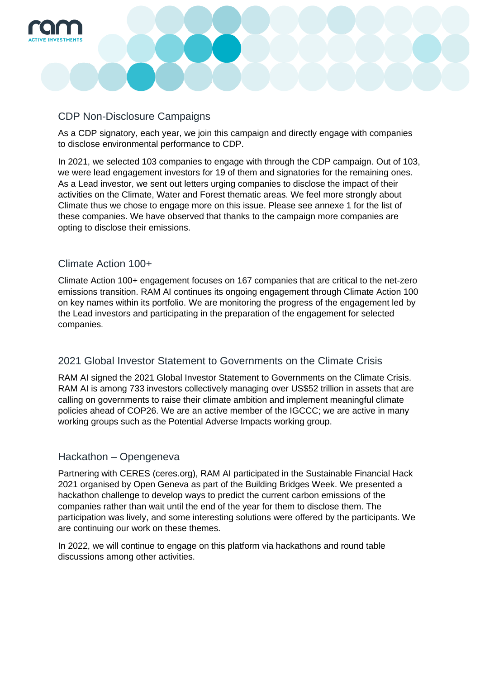

#### CDP Non-Disclosure Campaigns

As a CDP signatory, each year, we join this campaign and directly engage with companies to disclose environmental performance to CDP.

In 2021, we selected 103 companies to engage with through the CDP campaign. Out of 103, we were lead engagement investors for 19 of them and signatories for the remaining ones. As a Lead investor, we sent out letters urging companies to disclose the impact of their activities on the Climate, Water and Forest thematic areas. We feel more strongly about Climate thus we chose to engage more on this issue. Please see annexe 1 for the list of these companies. We have observed that thanks to the campaign more companies are opting to disclose their emissions.

## Climate Action 100+

Climate Action 100+ engagement focuses on 167 companies that are critical to the net-zero emissions transition. RAM AI continues its ongoing engagement through Climate Action 100 on key names within its portfolio. We are monitoring the progress of the engagement led by the Lead investors and participating in the preparation of the engagement for selected companies.

# 2021 Global Investor Statement to Governments on the Climate Crisis

RAM AI signed the 2021 Global Investor Statement to Governments on the Climate Crisis. RAM AI is among 733 investors collectively managing over US\$52 trillion in assets that are calling on governments to raise their climate ambition and implement meaningful climate policies ahead of COP26. We are an active member of the IGCCC; we are active in many working groups such as the Potential Adverse Impacts working group.

#### Hackathon – Opengeneva

Partnering with CERES (ceres.org), RAM AI participated in the Sustainable Financial Hack 2021 organised by Open Geneva as part of the Building Bridges Week. We presented a hackathon challenge to develop ways to predict the current carbon emissions of the companies rather than wait until the end of the year for them to disclose them. The participation was lively, and some interesting solutions were offered by the participants. We are continuing our work on these themes.

In 2022, we will continue to engage on this platform via hackathons and round table discussions among other activities.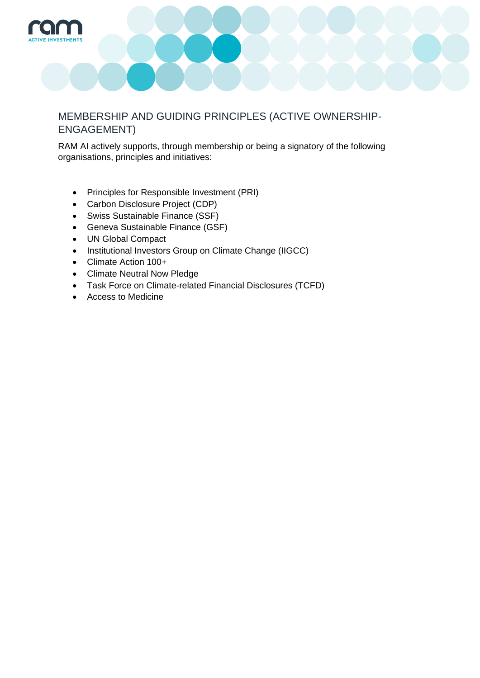

## MEMBERSHIP AND GUIDING PRINCIPLES (ACTIVE OWNERSHIP-ENGAGEMENT)

RAM AI actively supports, through membership or being a signatory of the following organisations, principles and initiatives:

- Principles for Responsible Investment (PRI)
- Carbon Disclosure Project (CDP)
- Swiss Sustainable Finance (SSF)
- Geneva Sustainable Finance (GSF)
- UN Global Compact
- Institutional Investors Group on Climate Change (IIGCC)
- Climate Action 100+
- Climate Neutral Now Pledge
- Task Force on Climate-related Financial Disclosures (TCFD)
- Access to Medicine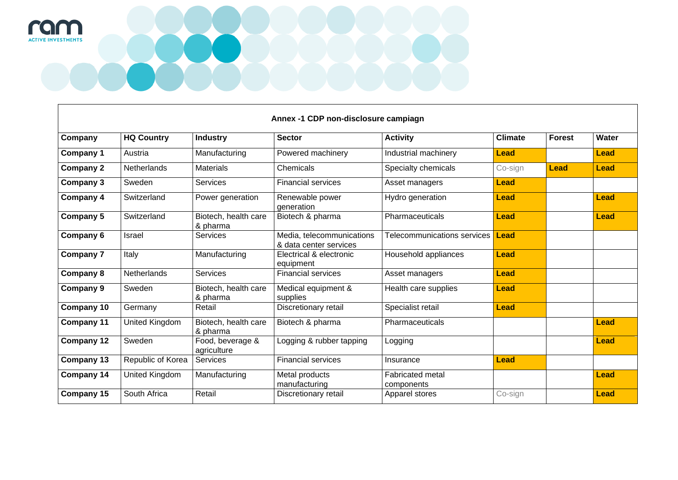

| Company           | <b>HQ Country</b> | <b>Industry</b>                  | <b>Sector</b>                                       | <b>Activity</b>                       | <b>Climate</b> | <b>Forest</b> | Water       |
|-------------------|-------------------|----------------------------------|-----------------------------------------------------|---------------------------------------|----------------|---------------|-------------|
| Company 1         | Austria           | Manufacturing                    | Powered machinery                                   | Industrial machinery                  | <b>Lead</b>    |               | <b>Lead</b> |
| <b>Company 2</b>  | Netherlands       | <b>Materials</b>                 | Chemicals                                           | Specialty chemicals                   | Co-sign        | <b>Lead</b>   | <b>Lead</b> |
| Company 3         | Sweden            | <b>Services</b>                  | <b>Financial services</b>                           | Asset managers                        | <b>Lead</b>    |               |             |
| Company 4         | Switzerland       | Power generation                 | Renewable power<br>generation                       | Hydro generation                      | <b>Lead</b>    |               | <b>Lead</b> |
| Company 5         | Switzerland       | Biotech, health care<br>& pharma | Biotech & pharma                                    | Pharmaceuticals                       | <b>Lead</b>    |               | <b>Lead</b> |
| Company 6         | Israel            | <b>Services</b>                  | Media, telecommunications<br>& data center services | Telecommunications services           | <b>Lead</b>    |               |             |
| <b>Company 7</b>  | Italy             | Manufacturing                    | Electrical & electronic<br>equipment                | Household appliances                  | <b>Lead</b>    |               |             |
| Company 8         | Netherlands       | Services                         | <b>Financial services</b>                           | Asset managers                        | <b>Lead</b>    |               |             |
| Company 9         | Sweden            | Biotech, health care<br>& pharma | Medical equipment &<br>supplies                     | Health care supplies                  | <b>Lead</b>    |               |             |
| <b>Company 10</b> | Germany           | Retail                           | Discretionary retail                                | Specialist retail                     | <b>Lead</b>    |               |             |
| <b>Company 11</b> | United Kingdom    | Biotech, health care<br>& pharma | Biotech & pharma                                    | Pharmaceuticals                       |                |               | <b>Lead</b> |
| <b>Company 12</b> | Sweden            | Food, beverage &<br>agriculture  | Logging & rubber tapping                            | Logging                               |                |               | <b>Lead</b> |
| <b>Company 13</b> | Republic of Korea | <b>Services</b>                  | <b>Financial services</b>                           | Insurance                             | <b>Lead</b>    |               |             |
| <b>Company 14</b> | United Kingdom    | Manufacturing                    | Metal products<br>manufacturing                     | <b>Fabricated metal</b><br>components |                |               | <b>Lead</b> |
| <b>Company 15</b> | South Africa      | Retail                           | Discretionary retail                                | Apparel stores                        | Co-sign        |               | <b>Lead</b> |